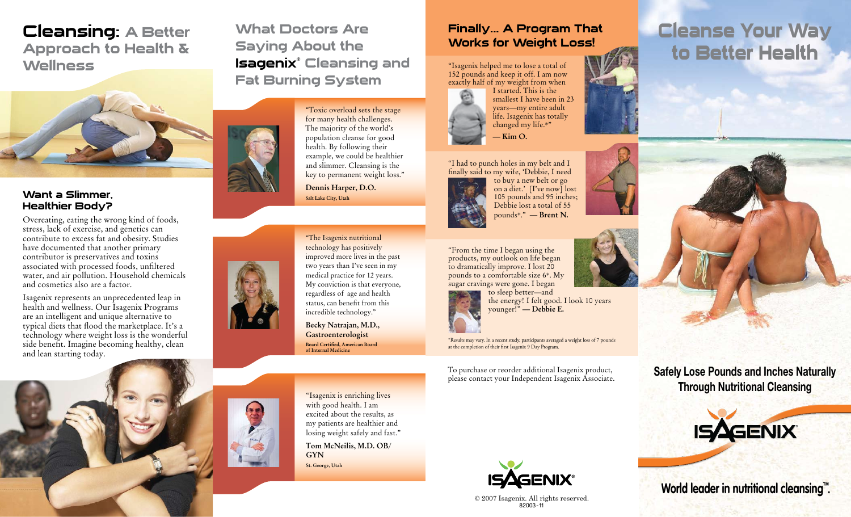### Cleansing: A Better Approach to Health & **Wellness**



### Want a Slimmer, Healthier Body?

Overeating, eating the wrong kind of foods, stress, lack of exercise, and genetics can contribute to excess fat and obesity. Studies have documented that another primary contributor is preservatives and toxins associated with processed foods, unfiltered water, and air pollution. Household chemicals and cosmetics also are a factor.

Isagenix represents an unprecedented leap in health and wellness. Our Isagenix Programs are an intelligent and unique alternative to typical diets that flood the marketplace. It's a technology where weight loss is the wonderful side benefit. Imagine becoming healthy, clean and lean starting today.



What Doctors Are Saying About the Isagenix® Cleansing and Fat Burning System

> "Toxic overload sets the stage for many health challenges. The majority of the world's population cleanse for good health. By following their example, we could be healthier and slimmer. Cleansing is the key to permanent weight loss."

**Dennis Harper, D.O. Salt Lake City, Utah**



"The Isagenix nutritional technology has positively improved more lives in the past two years than I've seen in my medical practice for 12 years. My conviction is that everyone, regardless of age and health status, can benefit from this incredible technology."

**Becky Natrajan, M.D., Gastroenterologist Board Certified, American Board**  of Internal Medicin

Finally... A Program That Works for Weight Loss!

"Isagenix helped me to lose a total of 152 pounds and keep it off. I am now exactly half of my weight from when



"I had to punch holes in my belt and I finally said to my wife, 'Debbie, I need



to buy a new belt or go on a diet.' [I've now] lost 105 pounds and 95 inches; Debbie lost a total of 55 pounds\*." **– Brent N.**

"From the time I began using the products, my outlook on life began to dramatically improve. I lost 20 pounds to a comfortable size 6\*. My sugar cravings were gone. I began

to sleep better—and the energy! I felt good. I look 10 years younger!" **– Debbie E.**

\*Results may vary. In a recent study, participants averaged a weight loss of 7 pounds at the completion of their first Isagenix 9 Day Program.

To purchase or reorder additional Isagenix product, please contact your Independent Isagenix Associate.



© 2007 Isagenix. All rights reserved. 82003 -11

# **Cleanse Your Way to Better Health**

**Safely Lose Pounds and Inches Naturally Through Nutritional Cleansing**



**World leader in nutritional cleansing™.**

"Isagenix is enriching lives with good health. I am excited about the results, as my patients are healthier and losing weight safely and fast."

**Tom McNeilis, M.D. OB/ GYN St. George, Utah**